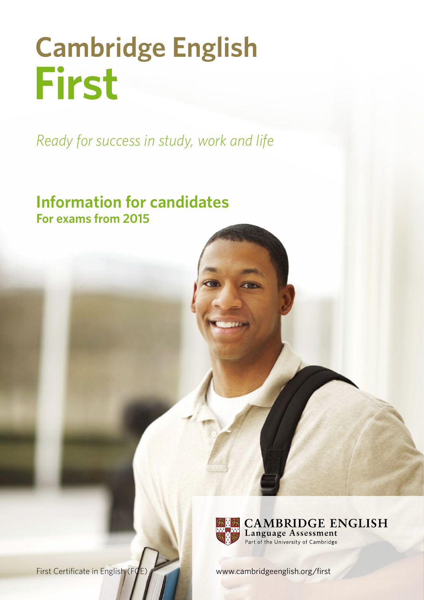# **Cambridge English First**

*Ready for success in study, work and life*

# **Information for candidates For exams from 2015**



**CAMBRIDGE ENGLISH**<br>Language Assessment<br>Part of the University of Cambridge

[www.cambridgeenglish.org/first](http://www.cambridgeenglish.org/first)

First Certificate in English (FCE)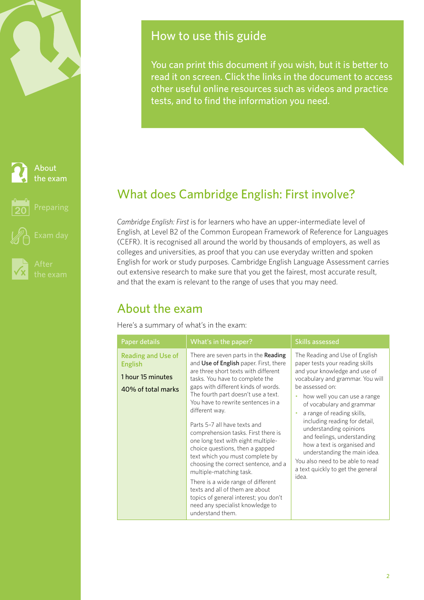<span id="page-1-0"></span>

About the exam





# How to use this guide

You can print this document if you wish, but it is better to read it on screen. Click the links in the document to access other useful online resources such as videos and practice tests, and to find the information you need.

# What does Cambridge English: First involve?

*Cambridge English: First* is for learners who have an upper-intermediate level of English, at Level B2 of the Common European Framework of Reference for Languages (CEFR). It is recognised all around the world by thousands of employers, as well as colleges and universities, as proof that you can use everyday written and spoken English for work or study purposes. Cambridge English Language Assessment carries out extensive research to make sure that you get the fairest, most accurate result, and that the exam is relevant to the range of uses that you may need.

# About the exam

Here's a summary of what's in the exam:

| Paper details                                                                   | What's in the paper?                                                                                                                                                                                                                                                                                                                                                                                                                                                                                                                                                                                                                                                                                                                   | <b>Skills assessed</b>                                                                                                                                                                                                                                                                                                                                                                                                                                                                          |
|---------------------------------------------------------------------------------|----------------------------------------------------------------------------------------------------------------------------------------------------------------------------------------------------------------------------------------------------------------------------------------------------------------------------------------------------------------------------------------------------------------------------------------------------------------------------------------------------------------------------------------------------------------------------------------------------------------------------------------------------------------------------------------------------------------------------------------|-------------------------------------------------------------------------------------------------------------------------------------------------------------------------------------------------------------------------------------------------------------------------------------------------------------------------------------------------------------------------------------------------------------------------------------------------------------------------------------------------|
| <b>Reading and Use of</b><br>English<br>1 hour 15 minutes<br>40% of total marks | There are seven parts in the <b>Reading</b><br>and Use of English paper. First, there<br>are three short texts with different<br>tasks. You have to complete the<br>gaps with different kinds of words.<br>The fourth part doesn't use a text.<br>You have to rewrite sentences in a<br>different way.<br>Parts 5-7 all have texts and<br>comprehension tasks. First there is<br>one long text with eight multiple-<br>choice questions, then a gapped<br>text which you must complete by<br>choosing the correct sentence, and a<br>multiple-matching task.<br>There is a wide range of different<br>texts and all of them are about<br>topics of general interest; you don't<br>need any specialist knowledge to<br>understand them. | The Reading and Use of English<br>paper tests your reading skills<br>and your knowledge and use of<br>vocabulary and grammar. You will<br>be assessed on:<br>how well you can use a range<br>of vocabulary and grammar<br>a range of reading skills,<br>including reading for detail,<br>understanding opinions<br>and feelings, understanding<br>how a text is organised and<br>understanding the main idea.<br>You also need to be able to read<br>a text quickly to get the general<br>idea. |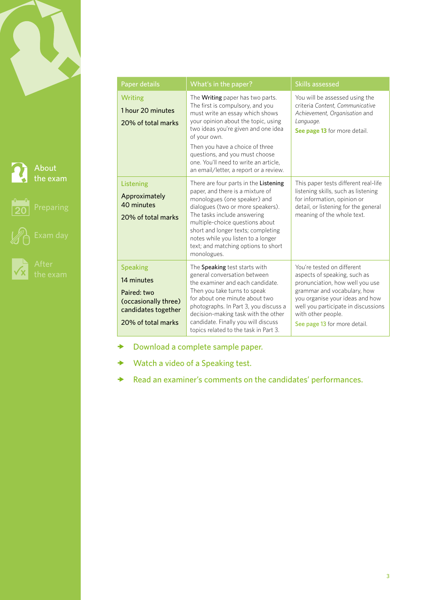

About [the exam](#page-1-0)

 $\overline{20}$ 



| Paper details                                                                                                     | What's in the paper?                                                                                                                                                                                                                                                                                                                                                 | <b>Skills assessed</b>                                                                                                                                                                                                                                       |
|-------------------------------------------------------------------------------------------------------------------|----------------------------------------------------------------------------------------------------------------------------------------------------------------------------------------------------------------------------------------------------------------------------------------------------------------------------------------------------------------------|--------------------------------------------------------------------------------------------------------------------------------------------------------------------------------------------------------------------------------------------------------------|
| Writing<br>1 hour 20 minutes<br>20% of total marks                                                                | The <b>Writing</b> paper has two parts.<br>The first is compulsory, and you<br>must write an essay which shows<br>your opinion about the topic, using<br>two ideas you're given and one idea<br>of your own.<br>Then you have a choice of three<br>questions, and you must choose<br>one. You'll need to write an article,<br>an email/letter, a report or a review. | You will be assessed using the<br>criteria Content, Communicative<br>Achievement, Organisation and<br>Language.<br>See page 13 for more detail.                                                                                                              |
| Listening<br>Approximately<br>40 minutes<br>20% of total marks                                                    | There are four parts in the Listening<br>paper, and there is a mixture of<br>monologues (one speaker) and<br>dialogues (two or more speakers).<br>The tasks include answering<br>multiple-choice questions about<br>short and longer texts; completing<br>notes while you listen to a longer<br>text; and matching options to short<br>monologues.                   | This paper tests different real-life<br>listening skills, such as listening<br>for information, opinion or<br>detail, or listening for the general<br>meaning of the whole text.                                                                             |
| <b>Speaking</b><br>14 minutes<br>Paired: two<br>(occasionally three)<br>candidates together<br>20% of total marks | The <b>Speaking</b> test starts with<br>general conversation between<br>the examiner and each candidate.<br>Then you take turns to speak<br>for about one minute about two<br>photographs. In Part 3, you discuss a<br>decision-making task with the other<br>candidate. Finally you will discuss<br>topics related to the task in Part 3.                           | You're tested on different<br>aspects of speaking, such as<br>pronunciation, how well you use<br>grammar and vocabulary, how<br>you organise your ideas and how<br>well you participate in discussions<br>with other people.<br>See page 13 for more detail. |

- $\rightarrow$  [Download a complete sample paper.](http://www.cambridgeenglish.org/Images/174037-fce-2015-sample-papers.zip)
- $\rightarrow$  Watch a video of a Speaking test.
- $\rightarrow$  [Read an examiner's comments on the candidates' performances.](http://www.cambridgeenglish.org/images/173977-cambridge-english-first-speaking-test-examiner-comments.pdf)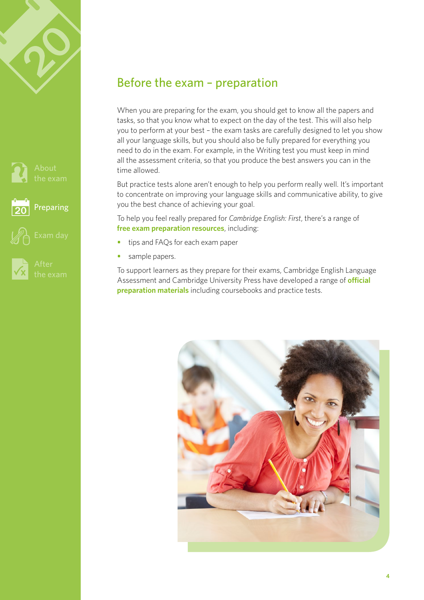<span id="page-3-0"></span>



# Before the exam – preparation

When you are preparing for the exam, you should get to know all the papers and tasks, so that you know what to expect on the day of the test. This will also help you to perform at your best – the exam tasks are carefully designed to let you show all your language skills, but you should also be fully prepared for everything you need to do in the exam. For example, in the Writing test you must keep in mind all the assessment criteria, so that you produce the best answers you can in the time allowed.

But practice tests alone aren't enough to help you perform really well. It's important to concentrate on improving your language skills and communicative ability, to give you the best chance of achieving your goal.

To help you feel really prepared for *Cambridge English: First*, there's a range of **[free exam preparation resources](http://www.cambridgeenglish.org/learning-english/find-free-resources/)**, including:

- tips and FAQs for each exam paper
- sample papers[.](http://www.cambridgeenglish.org/prepare-and-practise/books-for-study/)

To support learners as they prepare for their exams, Cambridge English Language Assessment and Cambridge University Press have developed a range of **[official](http://www.cambridge.org/gb/cambridgeenglish/official-exam-preparation-materials/exam/cambridge-english-first-fce-2015)  [preparation materials](http://www.cambridge.org/gb/cambridgeenglish/official-exam-preparation-materials/exam/cambridge-english-first-fce-2015)** including coursebooks and practice tests.

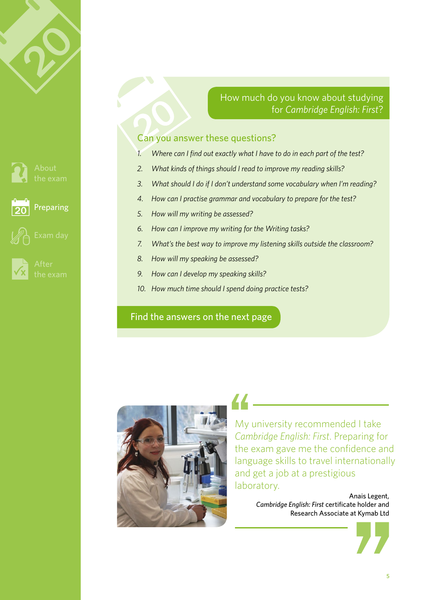

<sup>P</sup>reparing

How much do you know about studying for *Cambridge English: First*?

## Can you answer these questions?

- *1. Where can I find out exactly what I have to do in each part of the test?*
- *2. What kinds of things should I read to improve my reading skills?*
- *3. What should I do if I don't understand some vocabulary when I'm reading?*
- *4. How can I practise grammar and vocabulary to prepare for the test?*
- *5. How will my writing be assessed?*
- *6. How can I improve my writing for the Writing tasks?*
- *7. What's the best way to improve my listening skills outside the classroom?*
- *8. How will my speaking be assessed?*
- *9. How can I develop my speaking skills?*
- *10. How much time should I spend doing practice tests?*

## [Find the answers on the next page](#page-5-0)



My university recommended I take *Cambridge English: First*. Preparing for the exam gave me the confidence and language skills to travel internationally and get a job at a prestigious laboratory.

#### Anais Legent,

*Cambridge English: First* certificate holder and Research Associate at Kymab Ltd

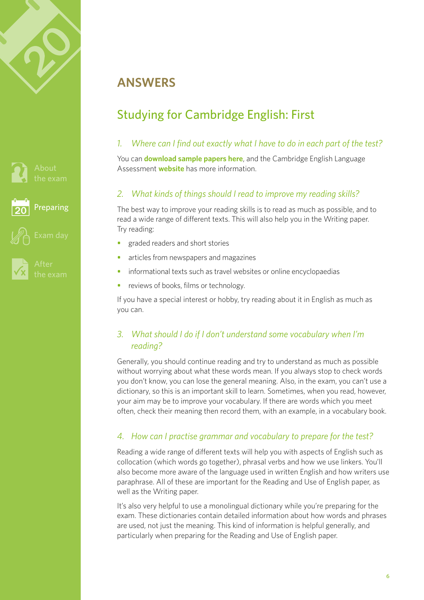<span id="page-5-0"></span>



# **ANSWERS**

# Studying for Cambridge English: First

## *1. Where can I find out exactly what I have to do in each part of the test?*

You can **[download sample papers here](http://www.cambridgeenglish.org/Images/174037-fce-2015-sample-papers.zip)**, and the Cambridge English Language Assessment **[website](http://www.cambridgeenglish.org/exams/first/)** has more information.

#### *2. What kinds of things should I read to improve my reading skills?*

The best way to improve your reading skills is to read as much as possible, and to read a wide range of different texts. This will also help you in the Writing paper. Try reading:

- graded readers and short stories
- articles from newspapers and magazines
- informational texts such as travel websites or online encyclopaedias
- reviews of books, films or technology.

If you have a special interest or hobby, try reading about it in English as much as you can.

#### *3. What should I do if I don't understand some vocabulary when I'm reading?*

Generally, you should continue reading and try to understand as much as possible without worrying about what these words mean. If you always stop to check words you don't know, you can lose the general meaning. Also, in the exam, you can't use a dictionary, so this is an important skill to learn. Sometimes, when you read, however, your aim may be to improve your vocabulary. If there are words which you meet often, check their meaning then record them, with an example, in a vocabulary book.

#### *4. How can I practise grammar and vocabulary to prepare for the test?*

Reading a wide range of different texts will help you with aspects of English such as collocation (which words go together), phrasal verbs and how we use linkers. You'll also become more aware of the language used in written English and how writers use paraphrase. All of these are important for the Reading and Use of English paper, as well as the Writing paper.

It's also very helpful to use a monolingual dictionary while you're preparing for the exam. These dictionaries contain detailed information about how words and phrases are used, not just the meaning. This kind of information is helpful generally, and particularly when preparing for the Reading and Use of English paper.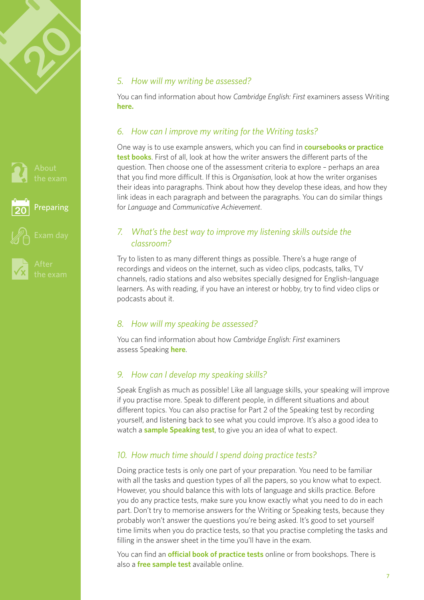



#### *5. How will my writing be assessed?*

You can find information about how *Cambridge English: First* examiners assess Writing **[here](#page-12-0).**

#### *6. How can I improve my writing for the Writing tasks?*

One way is to use example answers, which you can find in **[coursebooks or practice](http://www.cambridge.org/gb/cambridgeenglish/official-exam-preparation-materials/exam/cambridge-english-first-fce-2015)  [test books](http://www.cambridge.org/gb/cambridgeenglish/official-exam-preparation-materials/exam/cambridge-english-first-fce-2015)**. First of all, look at how the writer answers the different parts of the question. Then choose one of the assessment criteria to explore – perhaps an area that you find more difficult. If this is *Organisation*, look at how the writer organises their ideas into paragraphs. Think about how they develop these ideas, and how they link ideas in each paragraph and between the paragraphs. You can do similar things for *Language* and *Communicative Achievement*.

#### *7. What's the best way to improve my listening skills outside the classroom?*

Try to listen to as many different things as possible. There's a huge range of recordings and videos on the internet, such as video clips, podcasts, talks, TV channels, radio stations and also websites specially designed for English-language learners. As with reading, if you have an interest or hobby, try to find video clips or podcasts about it.

#### *8. How will my speaking be assessed?*

You can find information about how *Cambridge English: First* examiners assess Speaking **[here](http://www.cambridgeenglish.org/images/173977-cambridge-english-first-speaking-test-examiner-comments.pdf)**.

#### *9. How can I develop my speaking skills?*

Speak English as much as possible! Like all language skills, your speaking will improve if you practise more. Speak to different people, in different situations and about different topics. You can also practise for Part 2 of the Speaking test by recording yourself, and listening back to see what you could improve. It's also a good idea to watch a **[sample Speaking test](https://www.youtube.com/watch?v=EdeZp0n0JHw)**, to give you an idea of what to expect.

#### *10. How much time should I spend doing practice tests?*

Doing practice tests is only one part of your preparation. You need to be familiar with all the tasks and question types of all the papers, so you know what to expect. However, you should balance this with lots of language and skills practice. Before you do any practice tests, make sure you know exactly what you need to do in each part. Don't try to memorise answers for the Writing or Speaking tests, because they probably won't answer the questions you're being asked. It's good to set yourself time limits when you do practice tests, so that you practise completing the tasks and filling in the answer sheet in the time you'll have in the exam.

You can find an **[official book of practice tests](http://www.cambridge.org/gb/cambridgeenglish/official-exam-preparation-materials/exam/cambridge-english-first-fce-2015)** online or from bookshops. There is also a **[free sample test](http://www.cambridgeenglish.org/Images/174037-fce-2015-sample-papers.zip)** available online.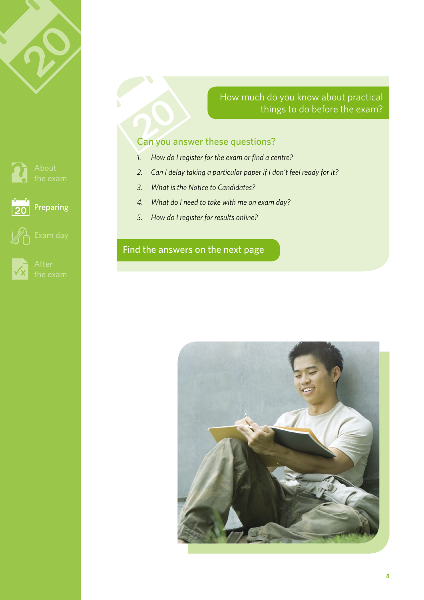

[Preparing](#page-3-0)

How much do you know about practical things to do before the exam?

## Can you answer these questions?

- *1. How do I register for the exam or find a centre?*
- *2. Can I delay taking a particular paper if I don't feel ready for it?*
- *3. What is the Notice to Candidates?*
- *4. What do I need to take with me on exam day?*
- *5. How do I register for results online?*

# [Find the answers on the next page](#page-8-0)

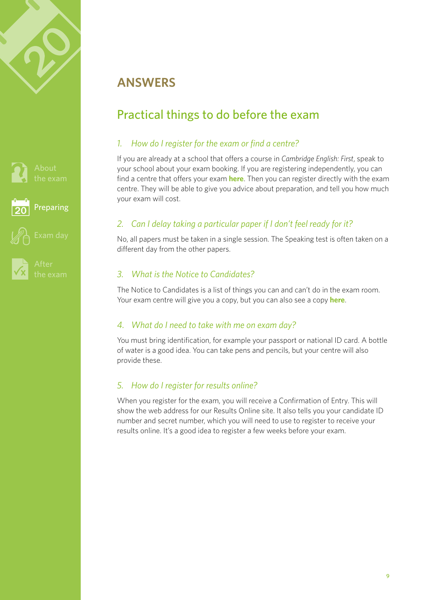<span id="page-8-0"></span>



# **ANSWERS**

# Practical things to do before the exam

## *1. How do I register for the exam or find a centre?*

If you are already at a school that offers a course in *Cambridge English: First*, speak to your school about your exam booking. If you are registering independently, you can find a centre that offers your exam **[here](www.cambridgeenglish.org/centresearch)**. Then you can register directly with the exam centre. They will be able to give you advice about preparation, and tell you how much your exam will cost.

## *2. Can I delay taking a particular paper if I don't feel ready for it?*

No, all papers must be taken in a single session. The Speaking test is often taken on a different day from the other papers.

## *3. What is the Notice to Candidates?*

The Notice to Candidates is a list of things you can and can't do in the exam room. Your exam centre will give you a copy, but you can also see a copy **[here](http://www.cambridgeenglish.org/images/summary-regulations.pdf#page=2)**.

## *4. What do I need to take with me on exam day?*

You must bring identification, for example your passport or national ID card. A bottle of water is a good idea. You can take pens and pencils, but your centre will also provide these.

## *5. How do I register for results online?*

When you register for the exam, you will receive a Confirmation of Entry. This will show the web address for our Results Online site. It also tells you your candidate ID number and secret number, which you will need to use to register to receive your results online. It's a good idea to register a few weeks before your exam.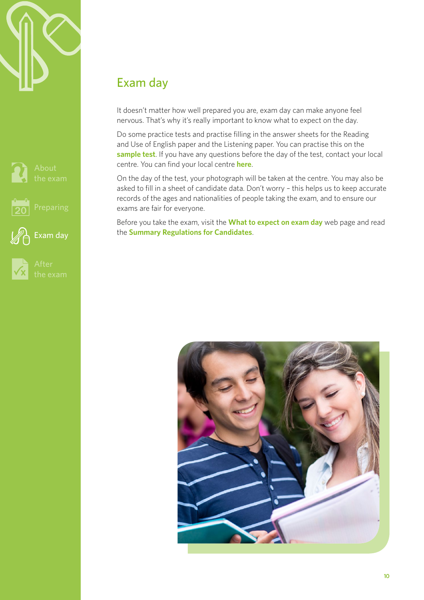<span id="page-9-0"></span>





# Exam day

It doesn't matter how well prepared you are, exam day can make anyone feel nervous. That's why it's really important to know what to expect on the day.

Do some practice tests and practise filling in the answer sheets for the Reading and Use of English paper and the Listening paper. You can practise this on the **[sample](http://www.cambridgeenglish.org/Images/174037-fce-2015-sample-papers.zip) test**. If you have any questions before the day of the test, contact your local centre. You can find your local centre **[here](www.cambridgeenglish.org/find-a-centre/find-an-exam-centre)**.

On the day of the test, your photograph will be taken at the centre. You may also be asked to fill in a sheet of candidate data. Don't worry – this helps us to keep accurate records of the ages and nationalities of people taking the exam, and to ensure our exams are fair for everyone.

Before you take the exam, visit the **[What to expect on exam day](http://www.cambridgeenglish.org/prepare-and-practise/what-to-expect-on-exam-day/)** web page and read the **[Summary Regulations for Candidates](http://www.cambridgeenglish.org/Images/summary-regulations.pdf)**.

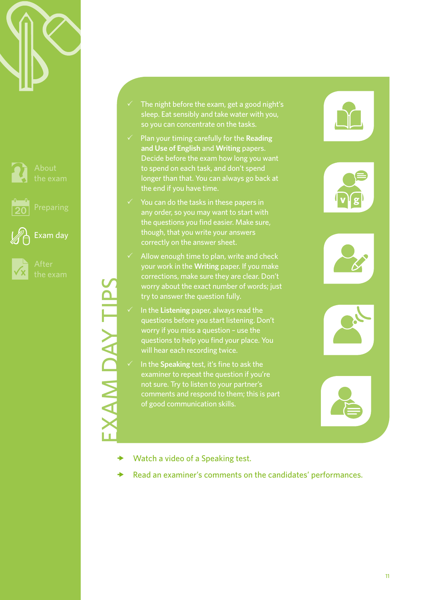



EXAM DAY TIPS

**EXAM DAY TIPS** 

- The night before the exam, get a good night's sleep. Eat sensibly and take water with you, so you can concentrate on the tasks.
- 3 Plan your timing carefully for the **Reading and Use of English** and **Writing** papers. Decide before the exam how long you want to spend on each task, and don't spend longer than that. You can always go back at
- You can do the tasks in these papers in any order, so you may want to start with the questions you find easier. Make sure, though, that you write your answers correctly on the answer sheet.
- Allow enough time to plan, write and check your work in the **Writing** paper. If you make corrections, make sure they are clear. Don't worry about the exact number of words; just try to answer the question fully.
- 3 In the **Listening** paper, always read the questions before you start listening. Don't worry if you miss a question – use the questions to help you find your place. You will hear each recording twice.
- In the **Speaking** test, it's fine to ask the examiner to repeat the question if you're not sure. Try to listen to your partner's comments and respond to them; this is part of good communication skills.











- $\rightarrow$  [Watch a video of a Speaking test.](https://www.youtube.com/watch?v=EdeZp0n0JHw)
- [Read an examiner's comments on the candidates' performances.](http://www.cambridgeenglish.org/images/173977-cambridge-english-first-speaking-test-examiner-comments.pdf)



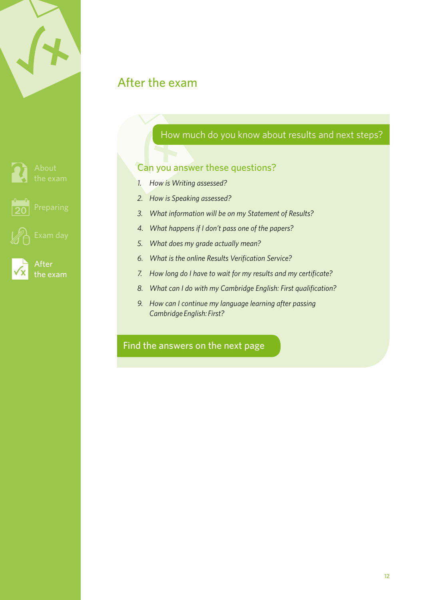<span id="page-11-0"></span>

| $\mathbf{C}$ | <b>A</b> |  |
|--------------|----------|--|
|              |          |  |
|              |          |  |



[the exam](#page-1-0)







After the exam

# After the exam

# How much do you know about results and next steps?

## Can you answer these questions?

- *1. How is Writing assessed?*
- *2. How is Speaking assessed?*
- *3. What information will be on my Statement of Results?*
- *4. What happens if I don't pass one of the papers?*
- *5. What does my grade actually mean?*
- *6. What is the online Results Verification Service?*
- *7. How long do I have to wait for my results and my certificate?*
- *8. What can I do with my Cambridge English: First qualification?*
- *9. How can I continue my language learning after passing Cambridge English: First?*

## [Find the answers on the next page](#page-12-0)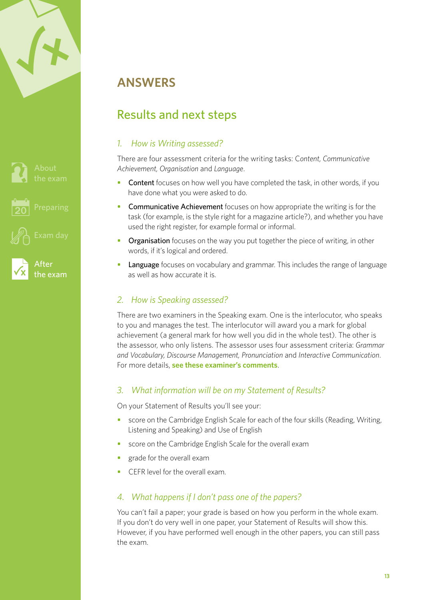<span id="page-12-0"></span>

|  | 14 |  |
|--|----|--|
|  |    |  |
|  |    |  |



# **ANSWERS**

# Results and next steps

#### *1. How is Writing assessed?*

There are four assessment criteria for the writing tasks: C*ontent, Communicative Achievement, Organisation* and *Language*.

- Content focuses on how well you have completed the task, in other words, if you have done what you were asked to do.
- Communicative Achievement focuses on how appropriate the writing is for the task (for example, is the style right for a magazine article?), and whether you have used the right register, for example formal or informal.
- **Organisation** focuses on the way you put together the piece of writing, in other words, if it's logical and ordered.
- Language focuses on vocabulary and grammar. This includes the range of language as well as how accurate it is.

## *2. How is Speaking assessed?*

There are two examiners in the Speaking exam. One is the interlocutor, who speaks to you and manages the test. The interlocutor will award you a mark for global achievement (a general mark for how well you did in the whole test). The other is the assessor, who only listens. The assessor uses four assessment criteria: *Grammar and Vocabulary, Discourse Management, Pronunciation* and *Interactive Communication*. For more details, **[see these examiner's comments](http://www.cambridgeenglish.org/images/173977-cambridge-english-first-speaking-test-examiner-comments.pdf)**.

#### *3. What information will be on my Statement of Results?*

On your Statement of Results you'll see your:

- score on the Cambridge English Scale for each of the four skills (Reading, Writing, Listening and Speaking) and Use of English
- score on the Cambridge English Scale for the overall exam
- grade for the overall exam
- CEFR level for the overall exam.

#### *4. What happens if I don't pass one of the papers?*

You can't fail a paper; your grade is based on how you perform in the whole exam. If you don't do very well in one paper, your Statement of Results will show this. However, if you have performed well enough in the other papers, you can still pass the exam.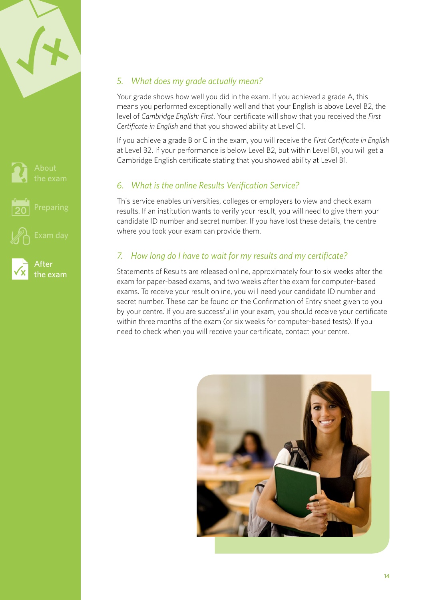

#### *5. What does my grade actually mean?*

Your grade shows how well you did in the exam. If you achieved a grade A, this means you performed exceptionally well and that your English is above Level B2, the level of *Cambridge English: First*. Your certificate will show that you received the *First Certificate in English* and that you showed ability at Level C1.

If you achieve a grade B or C in the exam, you will receive the *First Certificate in English* at Level B2. If your performance is below Level B2, but within Level B1, you will get a Cambridge English certificate stating that you showed ability at Level B1.

#### *6. What is the online Results Verification Service?*

This service enables universities, colleges or employers to view and check exam results. If an institution wants to verify your result, you will need to give them your candidate ID number and secret number. If you have lost these details, the centre where you took your exam can provide them.

## *7. How long do I have to wait for my results and my certificate?*

Statements of Results are released online, approximately four to six weeks after the exam for paper-based exams, and two weeks after the exam for computer–based exams. To receive your result online, you will need your candidate ID number and secret number. These can be found on the Confirmation of Entry sheet given to you by your centre. If you are successful in your exam, you should receive your certificate within three months of the exam (or six weeks for computer-based tests). If you need to check when you will receive your certificate, contact your centre.